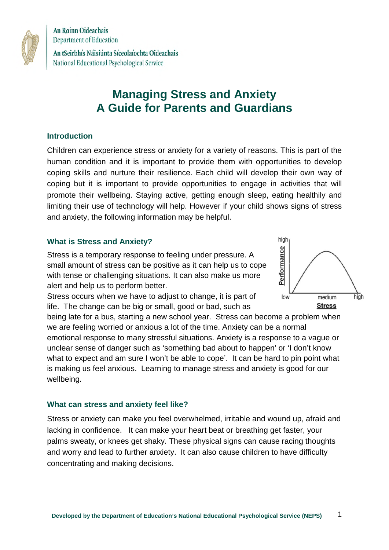

An tSeirbhís Náisiúnta Síceolaíochta Oideachais National Educational Psychological Service

# **Managing Stress and Anxiety A Guide for Parents and Guardians**

#### **Introduction**

Children can experience stress or anxiety for a variety of reasons. This is part of the human condition and it is important to provide them with opportunities to develop coping skills and nurture their resilience. Each child will develop their own way of coping but it is important to provide opportunities to engage in activities that will promote their wellbeing. Staying active, getting enough sleep, eating healthily and limiting their use of technology will help. However if your child shows signs of stress and anxiety, the following information may be helpful.

#### **What is Stress and Anxiety?**

Stress is a temporary response to feeling under pressure. A small amount of stress can be positive as it can help us to cope with tense or challenging situations. It can also make us more alert and help us to perform better.

Stress occurs when we have to adjust to change, it is part of life. The change can be big or small, good or bad, such as

being late for a bus, starting a new school year. Stress can become a problem when we are feeling worried or anxious a lot of the time. Anxiety can be a normal emotional response to many stressful situations. Anxiety is a response to a vague or unclear sense of danger such as 'something bad about to happen' or 'I don't know what to expect and am sure I won't be able to cope'. It can be hard to pin point what is making us feel anxious. Learning to manage stress and anxiety is good for our wellbeing.

#### **What can stress and anxiety feel like?**

Stress or anxiety can make you feel overwhelmed, irritable and wound up, afraid and lacking in confidence. It can make your heart beat or breathing get faster, your palms sweaty, or knees get shaky. These physical signs can cause racing thoughts and worry and lead to further anxiety. It can also cause children to have difficulty concentrating and making decisions.

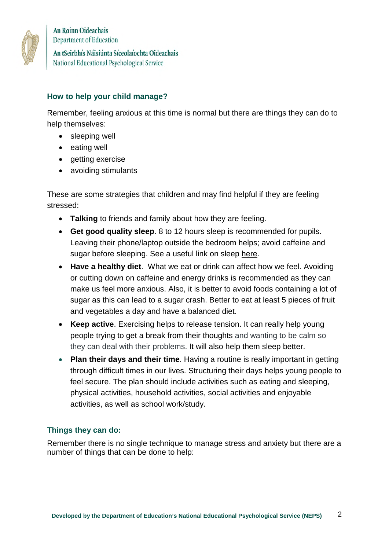

An tSeirbhís Náisiúnta Síceolaíochta Oideachais National Educational Psychological Service

## **How to help your child manage?**

Remember, feeling anxious at this time is normal but there are things they can do to help themselves:

- sleeping well
- eating well
- getting exercise
- avoiding stimulants

These are some strategies that children and may find helpful if they are feeling stressed:

- **Talking** to friends and family about how they are feeling.
- **Get good quality sleep**. 8 to 12 hours sleep is recommended for pupils. Leaving their phone/laptop outside the bedroom helps; avoid caffeine and sugar before sleeping. See a useful link on sleep [here.](https://www2.hse.ie/healthy-you/shake-off-the-sleep-monster.html)
- **Have a healthy diet**. What we eat or drink can affect how we feel. Avoiding or cutting down on caffeine and energy drinks is recommended as they can make us feel more anxious. Also, it is better to avoid foods containing a lot of sugar as this can lead to a sugar crash. Better to eat at least 5 pieces of fruit and vegetables a day and have a balanced diet.
- **Keep active**. Exercising helps to release tension. It can really help young people trying to get a break from their thoughts and wanting to be calm so they can deal with their problems. It will also help them sleep better.
- **Plan their days and their time**. Having a routine is really important in getting through difficult times in our lives. Structuring their days helps young people to feel secure. The plan should include activities such as eating and sleeping, physical activities, household activities, social activities and enjoyable activities, as well as school work/study.

## **Things they can do:**

Remember there is no single technique to manage stress and anxiety but there are a number of things that can be done to help: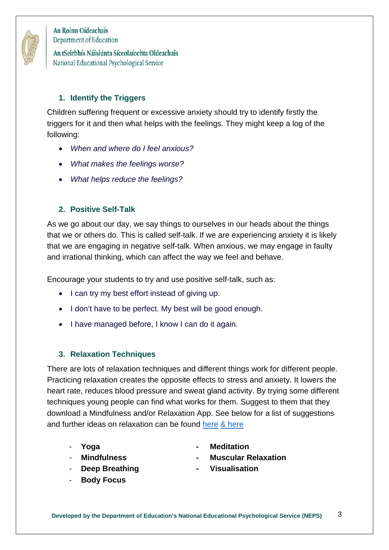

An tSeirbhís Náisiúnta Síceolaíochta Oideachais National Educational Psychological Service

# **1. Identify the Triggers**

Children suffering frequent or excessive anxiety should try to identify firstly the triggers for it and then what helps with the feelings. They might keep a log of the following:

- *When and where do I feel anxious?*
- *What makes the feelings worse?*
- *What helps reduce the feelings?*

# **2. Positive Self-Talk**

As we go about our day, we say things to ourselves in our heads about the things that we or others do. This is called self-talk. If we are experiencing anxiety it is likely that we are engaging in negative self-talk. When anxious, we may engage in faulty and irrational thinking, which can affect the way we feel and behave.

Encourage your students to try and use positive self-talk, such as:

- I can try my best effort instead of giving up.
- I don't have to be perfect. My best will be good enough.
- I have managed before, I know I can do it again.

# **3. Relaxation Techniques**

There are lots of relaxation techniques and different things work for different people. Practicing relaxation creates the opposite effects to stress and anxiety. It lowers the heart rate, reduces blood pressure and sweat gland activity. By trying some different techniques young people can find what works for them. Suggest to them that they download a Mindfulness and/or Relaxation App. See below for a list of suggestions and further ideas on relaxation can be found [here](https://www.education.ie/en/The-Department/Announcements/new-relaxation-techniques.pdf) & [here](https://www2.hse.ie/wellbeing/mental-health/mindfulness.html) 

- 
- 
- **Deep Breathing Visualisation**
- **Body Focus**
- **Yoga Meditation**
- **Mindfulness Muscular Relaxation** 
	-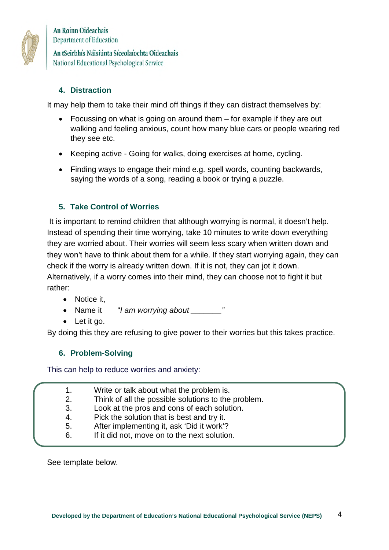

An tSeirbhís Náisiúnta Síceolaíochta Oideachais National Educational Psychological Service

## **4. Distraction**

It may help them to take their mind off things if they can distract themselves by:

- Focussing on what is going on around them for example if they are out walking and feeling anxious, count how many blue cars or people wearing red they see etc.
- Keeping active Going for walks, doing exercises at home, cycling.
- Finding ways to engage their mind e.g. spell words, counting backwards, saying the words of a song, reading a book or trying a puzzle.

## **5. Take Control of Worries**

 It is important to remind children that although worrying is normal, it doesn't help. Instead of spending their time worrying, take 10 minutes to write down everything they are worried about. Their worries will seem less scary when written down and they won't have to think about them for a while. If they start worrying again, they can check if the worry is already written down. If it is not, they can jot it down. Alternatively, if a worry comes into their mind, they can choose not to fight it but rather:

- Notice it.
- Name it "*I am worrying about \_\_\_\_\_\_\_"*
- Let it go.

By doing this they are refusing to give power to their worries but this takes practice.

## **6. Problem-Solving**

This can help to reduce worries and anxiety:

- 1. Write or talk about what the problem is.
- 2. Think of all the possible solutions to the problem.
- 3. Look at the pros and cons of each solution.
- 4. Pick the solution that is best and try it.
- 5. After implementing it, ask 'Did it work'?
- 6. If it did not, move on to the next solution.

See template below.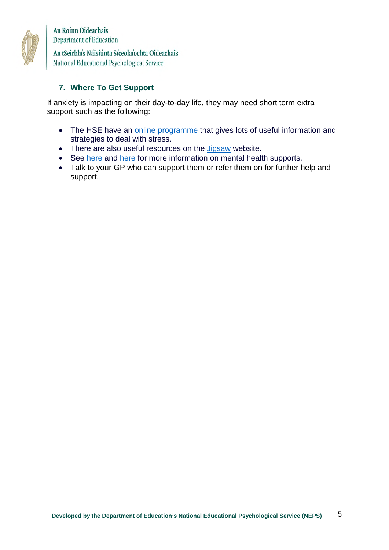

An tSeirbhís Náisiúnta Síceolaíochta Oideachais National Educational Psychological Service

#### **7. Where To Get Support**

If anxiety is impacting on their day-to-day life, they may need short term extra support such as the following:

- The HSE have an [online programme](https://stresscontrol.org/) that gives lots of useful information and strategies to deal with stress.
- There are also useful resources on the [Jigsaw](http://www.jigsaw.ie/) website.
- Se[e here](https://www2.hse.ie/wellbeing/mental-health/supports-for-young-people.html) and [here](https://www2.hse.ie/mental-health/) for more information on mental health supports.
- Talk to your GP who can support them or refer them on for further help and support.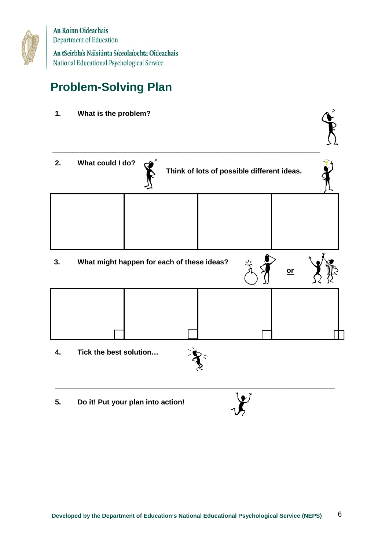

An tSeirbhís Náisiúnta Síceolaíochta Oideachais National Educational Psychological Service

# **Problem-Solving Plan**

**1. What is the problem?** 



**5. Do it! Put your plan into action!**